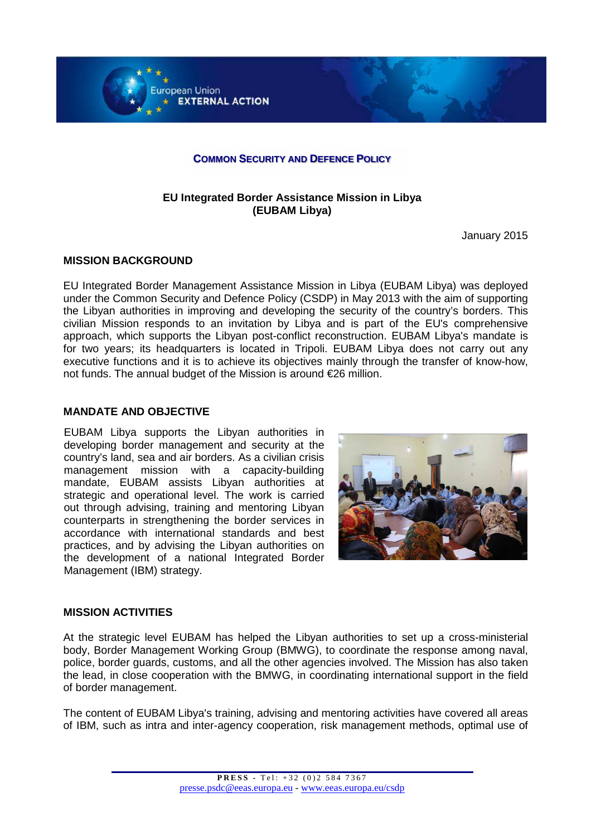

### **COMMON SECURITY AND DEFENCE POLICY**

# **EU Integrated Border Assistance Mission in Libya (EUBAM Libya)**

January 2015

# **MISSION BACKGROUND**

EU Integrated Border Management Assistance Mission in Libya (EUBAM Libya) was deployed under the Common Security and Defence Policy (CSDP) in May 2013 with the aim of supporting the Libyan authorities in improving and developing the security of the country's borders. This civilian Mission responds to an invitation by Libya and is part of the EU's comprehensive approach, which supports the Libyan post-conflict reconstruction. EUBAM Libya's mandate is for two years; its headquarters is located in Tripoli. EUBAM Libya does not carry out any executive functions and it is to achieve its objectives mainly through the transfer of know-how, not funds. The annual budget of the Mission is around €26 million.

# **MANDATE AND OBJECTIVE**

EUBAM Libya supports the Libyan authorities in accordance with international standards and best developing border management and security at the country's land, sea and air borders. As a civilian crisis management mission with a capacity-building mandate, EUBAM assists Libyan authorities at strategic and operational level. The work is carried out through advising, training and mentoring Libyan counterparts in strengthening the border services in practices, and by advising the Libyan authorities on the development of a national Integrated Border Management (IBM) strategy.



# **MISSION ACTIVITIES**

At the strategic level EUBAM has helped the Libyan authorities to set up a cross-ministerial body, Border Management Working Group (BMWG), to coordinate the response among naval, police, border guards, customs, and all the other agencies involved. The Mission has also taken the lead, in close cooperation with the BMWG, in coordinating international support in the field of border management.

The content of EUBAM Libya's training, advising and mentoring activities have covered all areas of IBM, such as intra and inter-agency cooperation, risk management methods, optimal use of